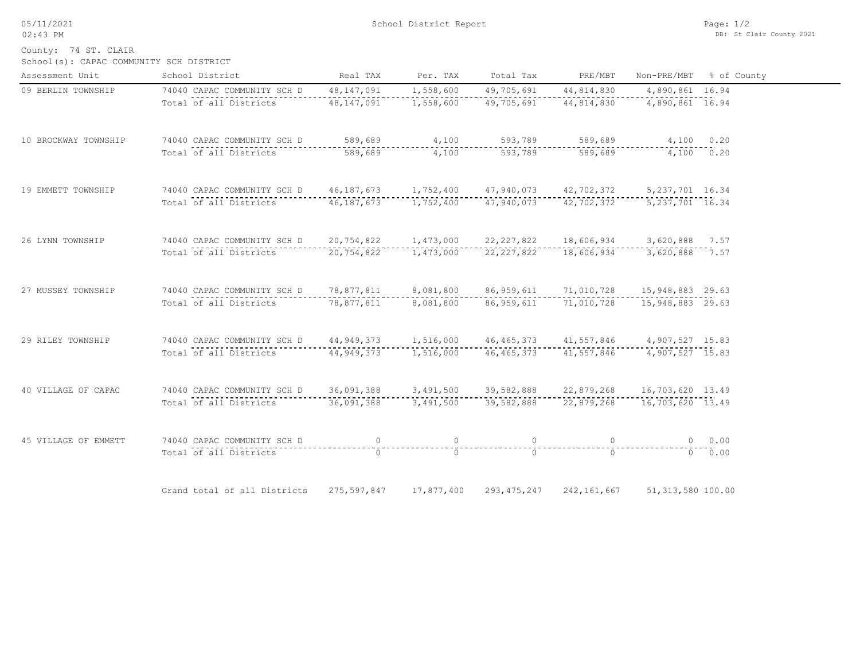05/11/2021 02:43 PM

School(s): CAPAC COMMUNITY SCH DISTRICT County: 74 ST. CLAIR

| Assessment Unit      | School District                                                                         | Real TAX   | Per. TAX       | Total Tax      | PRE/MBT                                      |                     | Non-PRE/MBT % of County |
|----------------------|-----------------------------------------------------------------------------------------|------------|----------------|----------------|----------------------------------------------|---------------------|-------------------------|
| 09 BERLIN TOWNSHIP   | 74040 CAPAC COMMUNITY SCH D                                                             | 48,147,091 | 1,558,600      | 49,705,691     | 44,814,830                                   | 4,890,861 16.94     |                         |
|                      | Total of all Districts 48,147,091                                                       |            | 1,558,600      |                | 49,705,691 44,814,830 4,890,861 16.94        |                     |                         |
| 10 BROCKWAY TOWNSHIP | 74040 CAPAC COMMUNITY SCH D 589,689 4,100 593,789 589,689 4,100 0.20                    |            |                |                |                                              |                     |                         |
|                      | Total of all Districts                                                                  |            |                |                |                                              |                     |                         |
| 19 EMMETT TOWNSHIP   | 74040 CAPAC COMMUNITY SCH D 46,187,673 1,752,400 47,940,073 42,702,372 5,237,701 16.34  |            |                |                |                                              |                     |                         |
|                      | Total of all Districts 46,187,673 1,752,400                                             |            |                |                | 47,940,073 42,702,372                        | 5, 237, 701 16.34   |                         |
| 26 LYNN TOWNSHIP     | 74040 CAPAC COMMUNITY SCH D 20,754,822 1,473,000                                        |            |                |                | 22, 227, 822 18, 606, 934 3, 620, 888 7.57   |                     |                         |
|                      | Total of all Districts                                                                  | 20,754,822 | 1,473,000      |                | 22, 227, 822 18, 606, 934 3, 620, 888 7.57   |                     |                         |
| 27 MUSSEY TOWNSHIP   | 74040 CAPAC COMMUNITY SCH D 78,877,811 8,081,800                                        |            |                |                | 86, 959, 611 71, 010, 728 15, 948, 883 29.63 |                     |                         |
|                      | Total of all Districts 78,877,811 8,081,800                                             |            |                |                |                                              |                     |                         |
| 29 RILEY TOWNSHIP    | 74040 CAPAC COMMUNITY SCH D 44,949,373 1,516,000 46,465,373 41,557,846 4,907,527 15.83  |            |                |                |                                              |                     |                         |
|                      | Total of all Districts 44, 949, 373                                                     |            | 1,516,000      |                | 46, 465, 373 41, 557, 846                    | 4,907,527 15.83     |                         |
| 40 VILLAGE OF CAPAC  | 74040 CAPAC COMMUNITY SCH D 36,091,388 3,491,500 39,582,888 22,879,268 16,703,620 13.49 |            |                |                |                                              |                     |                         |
|                      | Total of all Districts                                                                  |            |                |                |                                              |                     |                         |
| 45 VILLAGE OF EMMETT | 74040 CAPAC COMMUNITY SCH D                                                             |            |                |                |                                              |                     | $0 \t 0.00$             |
|                      | Total of all Districts                                                                  | $\bigcap$  | $\overline{a}$ | -------------- | $\cap$                                       |                     | 0.00                    |
|                      | Grand total of all Districts 275,597,847 17,877,400                                     |            |                |                | 293, 475, 247 242, 161, 667                  | 51, 313, 580 100.00 |                         |